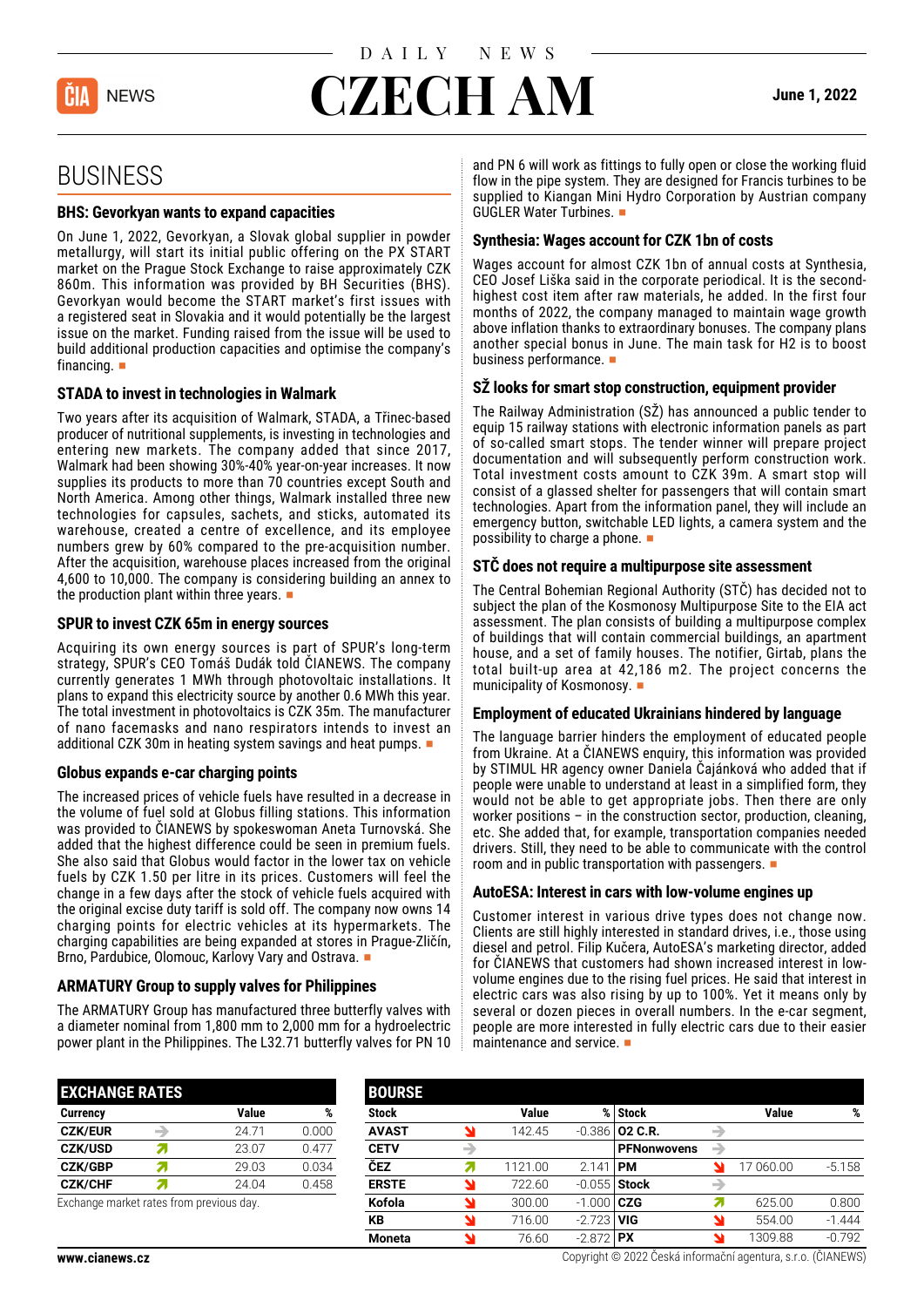

# **CZECH AM June 1, 2022**

## BUSINESS

#### **BHS: Gevorkyan wants to expand capacities**

On June 1, 2022, Gevorkyan, a Slovak global supplier in powder metallurgy, will start its initial public offering on the PX START market on the Prague Stock Exchange to raise approximately CZK 860m. This information was provided by BH Securities (BHS). Gevorkyan would become the START market's first issues with a registered seat in Slovakia and it would potentially be the largest issue on the market. Funding raised from the issue will be used to build additional production capacities and optimise the company's financing.  $\blacksquare$ 

#### **STADA to invest in technologies in Walmark**

Two years after its acquisition of Walmark, STADA, a Třinec-based producer of nutritional supplements, is investing in technologies and entering new markets. The company added that since 2017, Walmark had been showing 30%-40% year-on-year increases. It now supplies its products to more than 70 countries except South and North America. Among other things, Walmark installed three new technologies for capsules, sachets, and sticks, automated its warehouse, created a centre of excellence, and its employee numbers grew by 60% compared to the pre-acquisition number. After the acquisition, warehouse places increased from the original 4,600 to 10,000. The company is considering building an annex to the production plant within three years.  $\blacksquare$ 

#### **SPUR to invest CZK 65m in energy sources**

Acquiring its own energy sources is part of SPUR's long-term strategy, SPUR's CEO Tomáš Dudák told ČIANEWS. The company currently generates 1 MWh through photovoltaic installations. It plans to expand this electricity source by another 0.6 MWh this year. The total investment in photovoltaics is CZK 35m. The manufacturer of nano facemasks and nano respirators intends to invest an additional CZK 30m in heating system savings and heat pumps.

#### **Globus expands e-car charging points**

The increased prices of vehicle fuels have resulted in a decrease in the volume of fuel sold at Globus filling stations. This information was provided to ČIANEWS by spokeswoman Aneta Turnovská. She added that the highest difference could be seen in premium fuels. She also said that Globus would factor in the lower tax on vehicle fuels by CZK 1.50 per litre in its prices. Customers will feel the change in a few days after the stock of vehicle fuels acquired with the original excise duty tariff is sold off. The company now owns 14 charging points for electric vehicles at its hypermarkets. The charging capabilities are being expanded at stores in Prague-Zličín, Brno, Pardubice, Olomouc, Karlovy Vary and Ostrava.

#### **ARMATURY Group to supply valves for Philippines**

The ARMATURY Group has manufactured three butterfly valves with a diameter nominal from 1,800 mm to 2,000 mm for a hydroelectric power plant in the Philippines. The L32.71 butterfly valves for PN 10 and PN 6 will work as fittings to fully open or close the working fluid flow in the pipe system. They are designed for Francis turbines to be supplied to Kiangan Mini Hydro Corporation by Austrian company GUGLER Water Turbines.  $\blacksquare$ 

#### **Synthesia: Wages account for CZK 1bn of costs**

Wages account for almost CZK 1bn of annual costs at Synthesia, CEO Josef Liška said in the corporate periodical. It is the secondhighest cost item after raw materials, he added. In the first four months of 2022, the company managed to maintain wage growth above inflation thanks to extraordinary bonuses. The company plans another special bonus in June. The main task for H2 is to boost business performance.

#### **SŽ looks for smart stop construction, equipment provider**

The Railway Administration (SŽ) has announced a public tender to equip 15 railway stations with electronic information panels as part of so-called smart stops. The tender winner will prepare project documentation and will subsequently perform construction work. Total investment costs amount to CZK 39m. A smart stop will consist of a glassed shelter for passengers that will contain smart technologies. Apart from the information panel, they will include an emergency button, switchable LED lights, a camera system and the possibility to charge a phone.  $\blacksquare$ 

#### **STČ does not require a multipurpose site assessment**

The Central Bohemian Regional Authority (STČ) has decided not to subject the plan of the Kosmonosy Multipurpose Site to the EIA act assessment. The plan consists of building a multipurpose complex of buildings that will contain commercial buildings, an apartment house, and a set of family houses. The notifier, Girtab, plans the total built-up area at 42,186 m2. The project concerns the municipality of Kosmonosy.  $\blacksquare$ 

#### **Employment of educated Ukrainians hindered by language**

The language barrier hinders the employment of educated people from Ukraine. At a ČIANEWS enquiry, this information was provided by STIMUL HR agency owner Daniela Čajánková who added that if people were unable to understand at least in a simplified form, they would not be able to get appropriate jobs. Then there are only worker positions – in the construction sector, production, cleaning, etc. She added that, for example, transportation companies needed drivers. Still, they need to be able to communicate with the control room and in public transportation with passengers.  $\blacksquare$ 

#### **AutoESA: Interest in cars with low-volume engines up**

Customer interest in various drive types does not change now. Clients are still highly interested in standard drives, i.e., those using diesel and petrol. Filip Kučera, AutoESA's marketing director, added for ČIANEWS that customers had shown increased interest in lowvolume engines due to the rising fuel prices. He said that interest in electric cars was also rising by up to 100%. Yet it means only by several or dozen pieces in overall numbers. In the e-car segment, people are more interested in fully electric cars due to their easier maintenance and service.  $\blacksquare$ 

| <b>EXCHANGE RATES</b>                                              |    |       |       |  |  |  |  |  |
|--------------------------------------------------------------------|----|-------|-------|--|--|--|--|--|
| <b>Currency</b>                                                    |    | Value | %     |  |  |  |  |  |
| <b>CZK/EUR</b>                                                     |    | 24.71 | 0.000 |  |  |  |  |  |
| <b>CZK/USD</b>                                                     | 7  | 23.07 | 0.477 |  |  |  |  |  |
| <b>CZK/GBP</b>                                                     | 21 | 29.03 | 0.034 |  |  |  |  |  |
| <b>CZK/CHF</b>                                                     | 2  | 24.04 | 0.458 |  |  |  |  |  |
| Final and a constant and a compact for any mass state of the state |    |       |       |  |  |  |  |  |

Exchange market rates from previous day.

| <b>BOURSE</b> |    |              |          |                    |   |              |          |
|---------------|----|--------------|----------|--------------------|---|--------------|----------|
| <b>Stock</b>  |    | <b>Value</b> | %        | <b>Stock</b>       |   | <b>Value</b> | %        |
| <b>AVAST</b>  | N  | 142.45       | $-0.386$ | 02 C.R.            | → |              |          |
| <b>CETV</b>   | →  |              |          | <b>PFNonwovens</b> | → |              |          |
| ČEZ           | 21 | 1121.00      | 2.141    | <b>PM</b>          |   | 17 060.00    | $-5.158$ |
| <b>ERSTE</b>  | N  | 722.60       | $-0.055$ | <b>Stock</b>       | → |              |          |
| Kofola        | N  | 300.00       | $-1.000$ | <b>CZG</b>         |   | 625.00       | 0.800    |
| KB            | N  | 716.00       | $-2.723$ | <b>VIG</b>         |   | 554.00       | $-1.444$ |
| <b>Moneta</b> | ۷  | 76.60        | $-2.872$ | <b>PX</b>          |   | 1309.88      | $-0.792$ |

**www.cianews.cz** Copyright © 2022 Česká informační agentura, s.r.o. (ČIANEWS)